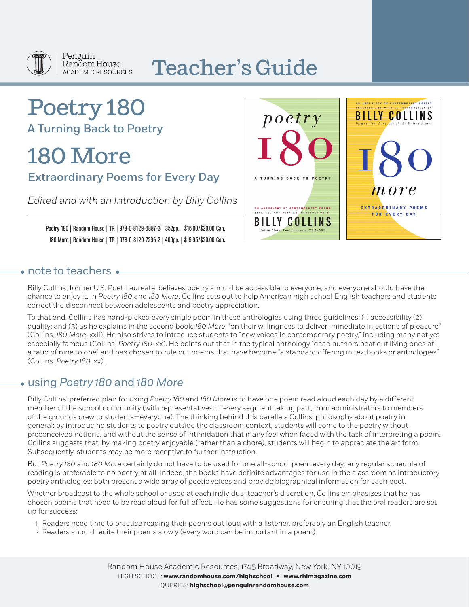

#### Penguin Random House **ACADEMIC RESOURCES**

# Teacher's Guide

## Poetry 180 A Turning Back to Poetry

# 180 More

Extraordinary Poems for Every Day

*Edited and with an Introduction by Billy Collins*

Poetry 180 | Random House | TR | 978-0-8129-6887-3 | 352pp. | \$16.00/\$20.00 Can. 180 More | Random House | TR | 978-0-8129-7296-2 | 400pp. | \$15.95/\$20.00 Can.



## $\bullet$  note to teachers  $\bullet$

Billy Collins, former U.S. Poet Laureate, believes poetry should be accessible to everyone, and everyone should have the chance to enjoy it. In *Poetry 180* and *180 More*, Collins sets out to help American high school English teachers and students correct the disconnect between adolescents and poetry appreciation.

To that end, Collins has hand-picked every single poem in these anthologies using three guidelines: (1) accessibility (2) quality; and (3) as he explains in the second book, *180 More*, "on their willingness to deliver immediate injections of pleasure" (Collins, *180 More*, xxii). He also strives to introduce students to "new voices in contemporary poetry," including many not yet especially famous (Collins, *Poetry 180*, xx). He points out that in the typical anthology "dead authors beat out living ones at a ratio of nine to one" and has chosen to rule out poems that have become "a standard offering in textbooks or anthologies" (Collins, *Poetry 180*, xx).

## using *Poetry 180* and *180 More*

Billy Collins' preferred plan for using *Poetry 180* and *180 More* is to have one poem read aloud each day by a different member of the school community (with representatives of every segment taking part, from administrators to members of the grounds crew to students—everyone). The thinking behind this parallels Collins' philosophy about poetry in general: by introducing students to poetry outside the classroom context, students will come to the poetry without preconceived notions, and without the sense of intimidation that many feel when faced with the task of interpreting a poem. Collins suggests that, by making poetry enjoyable (rather than a chore), students will begin to appreciate the art form. Subsequently, students may be more receptive to further instruction.

But *Poetry 180* and *180 More* certainly do not have to be used for one all-school poem every day; any regular schedule of reading is preferable to no poetry at all. Indeed, the books have definite advantages for use in the classroom as introductory poetry anthologies: both present a wide array of poetic voices and provide biographical information for each poet.

Whether broadcast to the whole school or used at each individual teacher's discretion, Collins emphasizes that he has chosen poems that need to be read aloud for full effect. He has some suggestions for ensuring that the oral readers are set up for success:

- 1. Readers need time to practice reading their poems out loud with a listener, preferably an English teacher.
- 2. Readers should recite their poems slowly (every word can be important in a poem).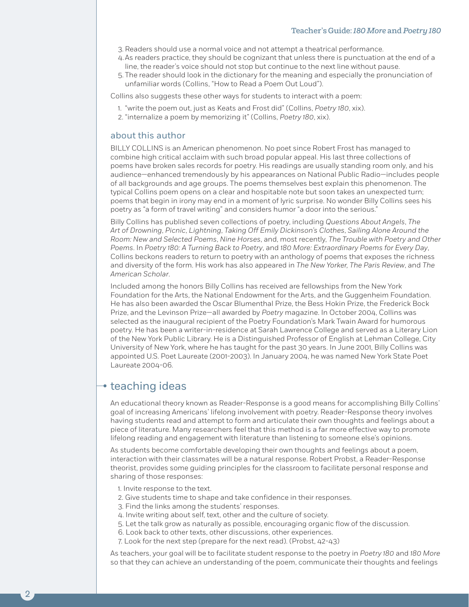- 3. Readers should use a normal voice and not attempt a theatrical performance.
- 4.As readers practice, they should be cognizant that unless there is punctuation at the end of a line, the reader's voice should not stop but continue to the next line without pause.
- 5. The reader should look in the dictionary for the meaning and especially the pronunciation of unfamiliar words (Collins, "How to Read a Poem Out Loud").

Collins also suggests these other ways for students to interact with a poem:

- 1. "write the poem out, just as Keats and Frost did" (Collins, *Poetry 180*, xix).
- 2. "internalize a poem by memorizing it" (Collins, *Poetry 180*, xix).

#### about this author

BILLY COLLINS is an American phenomenon. No poet since Robert Frost has managed to combine high critical acclaim with such broad popular appeal. His last three collections of poems have broken sales records for poetry. His readings are usually standing room only, and his audience—enhanced tremendously by his appearances on National Public Radio—includes people of all backgrounds and age groups. The poems themselves best explain this phenomenon. The typical Collins poem opens on a clear and hospitable note but soon takes an unexpected turn; poems that begin in irony may end in a moment of lyric surprise. No wonder Billy Collins sees his poetry as "a form of travel writing" and considers humor "a door into the serious."

Billy Collins has published seven collections of poetry, including *Questions About Angels*, *The Art of Drowning*, *Picnic*, *Lightning*, *Taking Off Emily Dickinson's Clothes*, *Sailing Alone Around the Room: New and Selected Poems*, *Nine Horses*, and, most recently, *The Trouble with Poetry and Other Poems*. In *Poetry 180: A Turning Back to Poetry*, and *180 More: Extraordinary Poems for Every Day*, Collins beckons readers to return to poetry with an anthology of poems that exposes the richness and diversity of the form. His work has also appeared in *The New Yorker, The Paris Review*, and *The American Scholar*.

Included among the honors Billy Collins has received are fellowships from the New York Foundation for the Arts, the National Endowment for the Arts, and the Guggenheim Foundation. He has also been awarded the Oscar Blumenthal Prize, the Bess Hokin Prize, the Frederick Bock Prize, and the Levinson Prize—all awarded by *Poetry* magazine. In October 2004, Collins was selected as the inaugural recipient of the Poetry Foundation's Mark Twain Award for humorous poetry. He has been a writer-in-residence at Sarah Lawrence College and served as a Literary Lion of the New York Public Library. He is a Distinguished Professor of English at Lehman College, City University of New York, where he has taught for the past 30 years. In June 2001, Billy Collins was appointed U.S. Poet Laureate (2001-2003). In January 2004, he was named New York State Poet Laureate 2004-06.

### $\rightarrow$  teaching ideas

2

An educational theory known as Reader-Response is a good means for accomplishing Billy Collins' goal of increasing Americans' lifelong involvement with poetry. Reader-Response theory involves having students read and attempt to form and articulate their own thoughts and feelings about a piece of literature. Many researchers feel that this method is a far more effective way to promote lifelong reading and engagement with literature than listening to someone else's opinions.

As students become comfortable developing their own thoughts and feelings about a poem, interaction with their classmates will be a natural response. Robert Probst, a Reader-Response theorist, provides some guiding principles for the classroom to facilitate personal response and sharing of those responses:

- 1. Invite response to the text.
- 2. Give students time to shape and take confidence in their responses.
- 3. Find the links among the students' responses.
- 4. Invite writing about self, text, other and the culture of society.
- 5. Let the talk grow as naturally as possible, encouraging organic flow of the discussion.
- 6. Look back to other texts, other discussions, other experiences.
- 7. Look for the next step (prepare for the next read). (Probst, 42-43)

As teachers, your goal will be to facilitate student response to the poetry in *Poetry 180* and *180 More* so that they can achieve an understanding of the poem, communicate their thoughts and feelings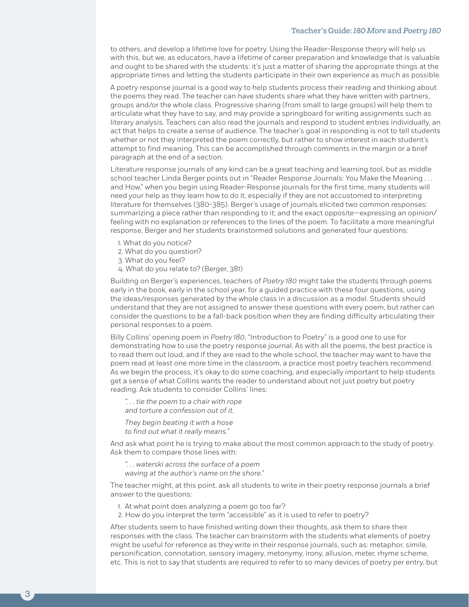#### Teacher's Guide: *180 More* and *Poetry 180*

to others, and develop a lifetime love for poetry. Using the Reader-Response theory will help us with this, but we, as educators, have a lifetime of career preparation and knowledge that is valuable and ought to be shared with the students: it's just a matter of sharing the appropriate things at the appropriate times and letting the students participate in their own experience as much as possible.

A poetry response journal is a good way to help students process their reading and thinking about the poems they read. The teacher can have students share what they have written with partners, groups and/or the whole class. Progressive sharing (from small to large groups) will help them to articulate what they have to say, and may provide a springboard for writing assignments such as literary analysis. Teachers can also read the journals and respond to student entries individually, an act that helps to create a sense of audience. The teacher's goal in responding is not to tell students whether or not they interpreted the poem correctly, but rather to show interest in each student's attempt to find meaning. This can be accomplished through comments in the margin or a brief paragraph at the end of a section.

Literature response journals of any kind can be a great teaching and learning tool, but as middle school teacher Linda Berger points out in "Reader Response Journals: You Make the Meaning . . . and How," when you begin using Reader-Response journals for the first time, many students will need your help as they learn how to do it, especially if they are not accustomed to interpreting literature for themselves (380-385). Berger's usage of journals elicited two common responses: summarizing a piece rather than responding to it; and the exact opposite—expressing an opinion/ feeling with no explanation or references to the lines of the poem. To facilitate a more meaningful response, Berger and her students brainstormed solutions and generated four questions:

- 1. What do you notice?
- 2. What do you question?
- 3. What do you feel?
- 4. What do you relate to? (Berger, 381)

Building on Berger's experiences, teachers of *Poetry 180* might take the students through poems early in the book, early in the school year, for a guided practice with these four questions, using the ideas/responses generated by the whole class in a discussion as a model. Students should understand that they are not assigned to answer these questions with every poem, but rather can consider the questions to be a fall-back position when they are finding difficulty articulating their personal responses to a poem.

Billy Collins' opening poem in *Poetry 180*, "Introduction to Poetry" is a good one to use for demonstrating how to use the poetry response journal. As with all the poems, the best practice is to read them out loud, and if they are read to the whole school, the teacher may want to have the poem read at least one more time in the classroom, a practice most poetry teachers recommend. As we begin the process, it's okay to do some coaching, and especially important to help students get a sense of what Collins wants the reader to understand about not just poetry but poetry reading. Ask students to consider Collins' lines:

*". . . tie the poem to a chair with rope and torture a confession out of it.*

*They begin beating it with a hose to find out what it really means."*

And ask what point he is trying to make about the most common approach to the study of poetry. Ask them to compare those lines with:

*". . . waterski across the surface of a poem waving at the author's name on the shore."*

The teacher might, at this point, ask all students to write in their poetry response journals a brief answer to the questions:

- 1. At what point does analyzing a poem go too far?
- 2. How do you interpret the term "accessible" as it is used to refer to poetry?

After students seem to have finished writing down their thoughts, ask them to share their responses with the class. The teacher can brainstorm with the students what elements of poetry might be useful for reference as they write in their response journals, such as: metaphor, simile, personification, connotation, sensory imagery, metonymy, irony, allusion, meter, rhyme scheme, etc. This is not to say that students are required to refer to so many devices of poetry per entry, but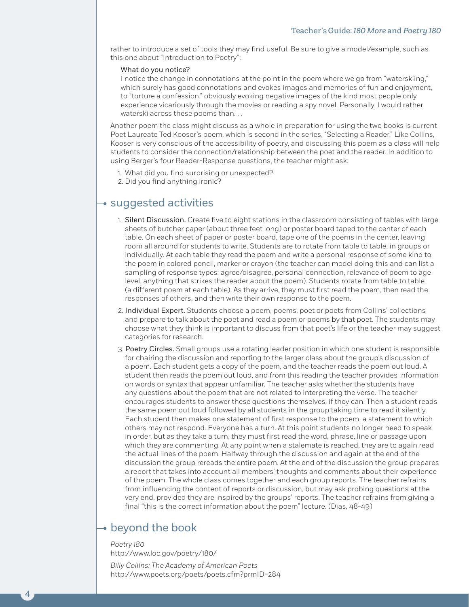rather to introduce a set of tools they may find useful. Be sure to give a model/example, such as this one about "Introduction to Poetry":

#### What do you notice?

I notice the change in connotations at the point in the poem where we go from "waterskiing," which surely has good connotations and evokes images and memories of fun and enjoyment, to "torture a confession," obviously evoking negative images of the kind most people only experience vicariously through the movies or reading a spy novel. Personally, I would rather waterski across these poems than...

Another poem the class might discuss as a whole in preparation for using the two books is current Poet Laureate Ted Kooser's poem, which is second in the series, "Selecting a Reader." Like Collins, Kooser is very conscious of the accessibility of poetry, and discussing this poem as a class will help students to consider the connection/relationship between the poet and the reader. In addition to using Berger's four Reader-Response questions, the teacher might ask:

- 1. What did you find surprising or unexpected?
- 2. Did you find anything ironic?

## $\rightarrow$  suggested activities

- 1. Silent Discussion. Create five to eight stations in the classroom consisting of tables with large sheets of butcher paper (about three feet long) or poster board taped to the center of each table. On each sheet of paper or poster board, tape one of the poems in the center, leaving room all around for students to write. Students are to rotate from table to table, in groups or individually. At each table they read the poem and write a personal response of some kind to the poem in colored pencil, marker or crayon (the teacher can model doing this and can list a sampling of response types: agree/disagree, personal connection, relevance of poem to age level, anything that strikes the reader about the poem). Students rotate from table to table (a different poem at each table). As they arrive, they must first read the poem, then read the responses of others, and then write their own response to the poem.
- 2. Individual Expert. Students choose a poem, poems, poet or poets from Collins' collections and prepare to talk about the poet and read a poem or poems by that poet. The students may choose what they think is important to discuss from that poet's life or the teacher may suggest categories for research.
- 3. Poetry Circles. Small groups use a rotating leader position in which one student is responsible for chairing the discussion and reporting to the larger class about the group's discussion of a poem. Each student gets a copy of the poem, and the teacher reads the poem out loud. A student then reads the poem out loud, and from this reading the teacher provides information on words or syntax that appear unfamiliar. The teacher asks whether the students have any questions about the poem that are not related to interpreting the verse. The teacher encourages students to answer these questions themselves, if they can. Then a student reads the same poem out loud followed by all students in the group taking time to read it silently. Each student then makes one statement of first response to the poem, a statement to which others may not respond. Everyone has a turn. At this point students no longer need to speak in order, but as they take a turn, they must first read the word, phrase, line or passage upon which they are commenting. At any point when a stalemate is reached, they are to again read the actual lines of the poem. Halfway through the discussion and again at the end of the discussion the group rereads the entire poem. At the end of the discussion the group prepares a report that takes into account all members' thoughts and comments about their experience of the poem. The whole class comes together and each group reports. The teacher refrains from influencing the content of reports or discussion, but may ask probing questions at the very end, provided they are inspired by the groups' reports. The teacher refrains from giving a final "this is the correct information about the poem" lecture. (Dias, 48-49)

## beyond the book

4

*Poetry 180* http://www.loc.gov/poetry/180/

*Billy Collins: The Academy of American Poets* http://www.poets.org/poets/poets.cfm?prmID=284